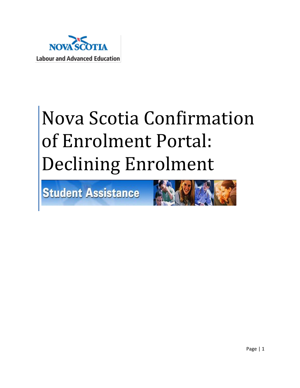

# Nova Scotia Confirmation of Enrolment Portal: Declining Enrolment

Student Assistance

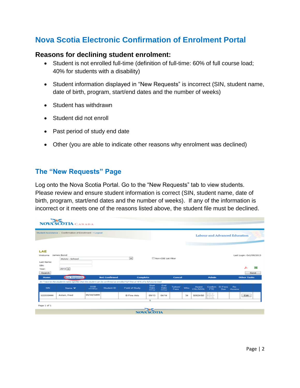## **Nova Scotia Electronic Confirmation of Enrolment Portal**

#### **Reasons for declining student enrolment:**

- Student is not enrolled full-time (definition of full-time: 60% of full course load; 40% for students with a disability)
- Student information displayed in "New Requests" is incorrect (SIN, student name, date of birth, program, start/end dates and the number of weeks)
- Student has withdrawn
- Student did not enroll
- Past period of study end date
- Other (you are able to indicate other reasons why enrolment was declined)

#### **The "New Requests" Page**

Log onto the Nova Scotia Portal. Go to the "New Requests" tab to view students. Please review and ensure student information is correct (SIN, student name, date of birth, program, start/end dates and the number of weeks). If any of the information is incorrect or it meets one of the reasons listed above, the student file must be declined.

|                                                                | Student Assistance > Confirmation of Enrollment > Logout                                                                                              |                        |                      |                       |                         |                      | Labour and Advanced Education |            |                          |                              |                       |               |                              |            |
|----------------------------------------------------------------|-------------------------------------------------------------------------------------------------------------------------------------------------------|------------------------|----------------------|-----------------------|-------------------------|----------------------|-------------------------------|------------|--------------------------|------------------------------|-----------------------|---------------|------------------------------|------------|
| LAE<br>Welcome<br>Last Name:<br>SIN:<br>Year:<br><b>Search</b> | James Bond<br><b>HUUU - School</b><br>$2013 -$                                                                                                        |                        |                      | $\overline{ }$        |                         | Non-COE List Filter  |                               |            | <b>The Common</b>        |                              |                       |               | Last Login: Oct/09/2013<br>ᅩ | P.<br>Send |
| <b>Home</b>                                                    | <b>New Requests</b><br>An "next to the student's name signifies that the student can be confirmed as enrolled Full-Time at 40% of a full course load. |                        | <b>Not Confirmed</b> | <b>Complete</b>       |                         |                      | Cancel                        |            |                          | <b>Admin</b>                 |                       |               | <b>Other Tasks</b>           |            |
| SIN                                                            | Name <b>v</b>                                                                                                                                         | <b>DOB</b><br>mmiddlyy | <b>Student ID</b>    | <b>Field of Study</b> | Sitart<br>Date<br>mmryy | End<br>Date<br>mmryy | <b>Tuition/</b><br>Fees       | <b>Wks</b> | Award<br><b>CSL/NSSL</b> | <b>Confirm</b><br><b>FTE</b> | <b>El Fees</b><br>Due | Re-<br>Assess |                              |            |
| 122333444                                                      | Astair, Fred                                                                                                                                          | 05/10/1899             |                      | <b>B Fine Arts</b>    | 09/13                   | 04/14                |                               | 34         | \$5624/\$0               | OY.<br>$\Box$                |                       |               | Edit                         |            |
|                                                                |                                                                                                                                                       |                        |                      |                       | $\blacksquare$          |                      |                               |            |                          |                              |                       |               |                              |            |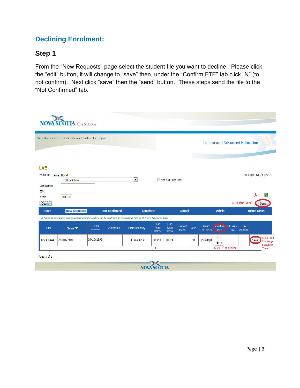## **Declining Enrolment:**

#### **Step 1**

From the "New Requests" page select the student file you want to decline. Please click the "edit" button, it will change to "save" then, under the "Confirm FTE" tab click "N" (to not confirm). Next click "save" then the "send" button. These steps send the file to the "Not Confirmed" tab.

|                                       | Student Assistance > Confirmation of Enrollment > Logout |                        |                      |                                                                                                                                |               |                     |          |            |                 |                 |     | Labour and Advanced Education |                         |
|---------------------------------------|----------------------------------------------------------|------------------------|----------------------|--------------------------------------------------------------------------------------------------------------------------------|---------------|---------------------|----------|------------|-----------------|-----------------|-----|-------------------------------|-------------------------|
| LAE<br>Welcome James Bond             | HUUU - School                                            |                        |                      | $\vert \cdot \vert$                                                                                                            |               | Non-COE List Filter |          |            |                 |                 |     |                               | Last Login: Oct/09/2013 |
| Last Name:<br>SIN:<br>Year:<br>Search | $2013 -$                                                 |                        |                      |                                                                                                                                |               |                     |          |            |                 |                 |     | Click after "Save"            | 図<br>Send               |
| Home                                  | <b>New Requests</b>                                      |                        | <b>Not Confirmed</b> | <b>Complete</b>                                                                                                                |               |                     | Cancel   |            |                 | <b>Admin</b>    |     |                               | <b>Other Tasks</b>      |
|                                       |                                                          |                        |                      | An *next to the student's name signifies that the student can be confirmed as enrolled Full-Time at 40% of a full course load. | Start         | End                 | Tuition/ | <b>Wks</b> | Award           | Confirm El Fees |     | Re-                           |                         |
| <b>SIN</b>                            | Name $\blacktriangledown$                                | <b>DOB</b><br>mm/dd/yy | Student ID           | Field of Study                                                                                                                 | Date<br>mm/yy | Date<br>mm/yy       | Fees     |            | <b>CSL/NSSL</b> | <b>FTE</b>      | Due | Assess                        |                         |

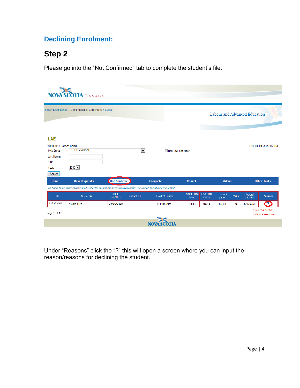## **Declining Enrolment:**

## **Step 2**

Please go into the "Not Confirmed" tab to complete the student's file.

| <b>NOVA SCOTIA CANADA</b>                                                           |                                                                                                                                |                        |                     |                     |                     |                          |                               |            |                          |                                      |  |  |  |
|-------------------------------------------------------------------------------------|--------------------------------------------------------------------------------------------------------------------------------|------------------------|---------------------|---------------------|---------------------|--------------------------|-------------------------------|------------|--------------------------|--------------------------------------|--|--|--|
|                                                                                     | Student Assistance > Confirmation of Enrollment > Logout                                                                       |                        |                     |                     |                     |                          | Labour and Advanced Education |            |                          |                                      |  |  |  |
| LAE<br>Welcome ! James Bond<br>Pick Group:<br>Last Name:<br>SIN:<br>Year:<br>Search | HUUU - School<br>$2013 -$                                                                                                      |                        | $\vert \cdot \vert$ | Non-COE List Filter |                     |                          |                               |            |                          | Last Login: Oct/10/2013              |  |  |  |
| Home                                                                                | (Not Confirmed)<br><b>New Requests</b>                                                                                         |                        | <b>Complete</b>     | Cancel              |                     | <b>Admin</b>             |                               |            | <b>Other Tasks</b>       |                                      |  |  |  |
|                                                                                     | An *next to the student's name signifies that the student can be confirmed as enrolled Full-Time at 40% of a full course load. |                        |                     |                     |                     |                          |                               |            |                          |                                      |  |  |  |
| SIN                                                                                 | Name $\blacktriangledown$                                                                                                      | <b>DOB</b><br>mm/dd/yy | Student ID          | Field of Study      | Start Date<br>mm/yy | <b>End Date</b><br>mm/yy | Tuition/<br>Fees              | <b>Wks</b> | Award<br><b>CSL/NSSL</b> | Reasons                              |  |  |  |
| 122333444                                                                           | Astair, Fred                                                                                                                   | 05/10/1899             |                     | <b>B</b> Fine Arts  | 09/13               | 04/14                    | \$0.00                        | 34         | \$5624/\$0               | $\bullet$                            |  |  |  |
| Page 1 of 1                                                                         |                                                                                                                                |                        |                     |                     |                     |                          |                               |            |                          | Click the "?" to<br>indicate reasons |  |  |  |
|                                                                                     |                                                                                                                                |                        |                     | <b>NOVA SCO</b>     |                     |                          |                               |            |                          |                                      |  |  |  |

Under "Reasons" click the "?" this will open a screen where you can input the reason/reasons for declining the student.